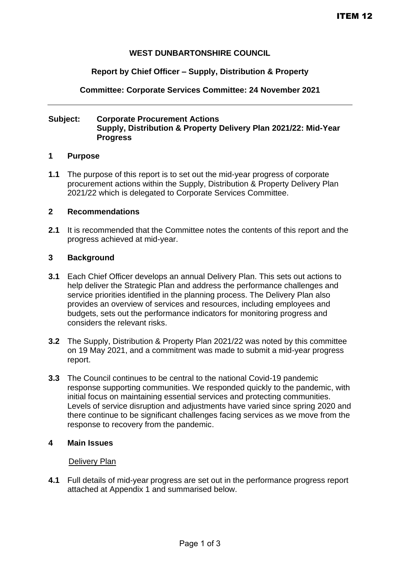# **WEST DUNBARTONSHIRE COUNCIL**

#### **Report by Chief Officer – Supply, Distribution & Property**

**Committee: Corporate Services Committee: 24 November 2021**

### **Subject: Corporate Procurement Actions Supply, Distribution & Property Delivery Plan 2021/22: Mid-Year Progress**

#### **1 Purpose**

**1.1** The purpose of this report is to set out the mid-year progress of corporate procurement actions within the Supply, Distribution & Property Delivery Plan 2021/22 which is delegated to Corporate Services Committee.

#### **2 Recommendations**

**2.1** It is recommended that the Committee notes the contents of this report and the progress achieved at mid-year.

#### **3 Background**

- **3.1** Each Chief Officer develops an annual Delivery Plan. This sets out actions to help deliver the Strategic Plan and address the performance challenges and service priorities identified in the planning process. The Delivery Plan also provides an overview of services and resources, including employees and budgets, sets out the performance indicators for monitoring progress and considers the relevant risks.
- **3.2** The Supply, Distribution & Property Plan 2021/22 was noted by this committee on 19 May 2021, and a commitment was made to submit a mid-year progress report.
- **3.3** The Council continues to be central to the national Covid-19 pandemic response supporting communities. We responded quickly to the pandemic, with initial focus on maintaining essential services and protecting communities. Levels of service disruption and adjustments have varied since spring 2020 and there continue to be significant challenges facing services as we move from the response to recovery from the pandemic.

#### **4 Main Issues**

#### Delivery Plan

**4.1** Full details of mid-year progress are set out in the performance progress report attached at Appendix 1 and summarised below.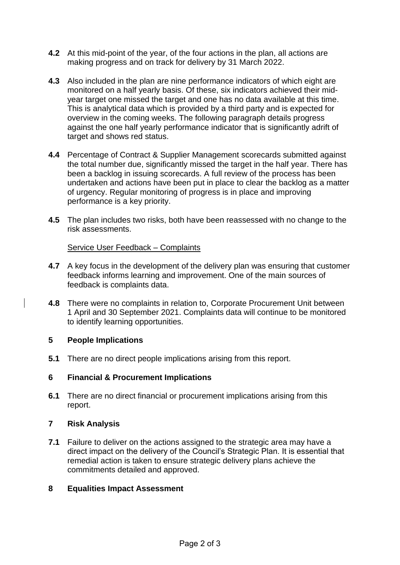- **4.2** At this mid-point of the year, of the four actions in the plan, all actions are making progress and on track for delivery by 31 March 2022.
- **4.3** Also included in the plan are nine performance indicators of which eight are monitored on a half yearly basis. Of these, six indicators achieved their midyear target one missed the target and one has no data available at this time. This is analytical data which is provided by a third party and is expected for overview in the coming weeks. The following paragraph details progress against the one half yearly performance indicator that is significantly adrift of target and shows red status.
- **4.4** Percentage of Contract & Supplier Management scorecards submitted against the total number due, significantly missed the target in the half year. There has been a backlog in issuing scorecards. A full review of the process has been undertaken and actions have been put in place to clear the backlog as a matter of urgency. Regular monitoring of progress is in place and improving performance is a key priority.
- **4.5** The plan includes two risks, both have been reassessed with no change to the risk assessments.

### Service User Feedback – Complaints

- **4.7** A key focus in the development of the delivery plan was ensuring that customer feedback informs learning and improvement. One of the main sources of feedback is complaints data.
- **4.8** There were no complaints in relation to, Corporate Procurement Unit between 1 April and 30 September 2021. Complaints data will continue to be monitored to identify learning opportunities.

### **5 People Implications**

**5.1** There are no direct people implications arising from this report.

### **6 Financial & Procurement Implications**

**6.1** There are no direct financial or procurement implications arising from this report.

### **7 Risk Analysis**

**7.1** Failure to deliver on the actions assigned to the strategic area may have a direct impact on the delivery of the Council's Strategic Plan. It is essential that remedial action is taken to ensure strategic delivery plans achieve the commitments detailed and approved.

### **8 Equalities Impact Assessment**